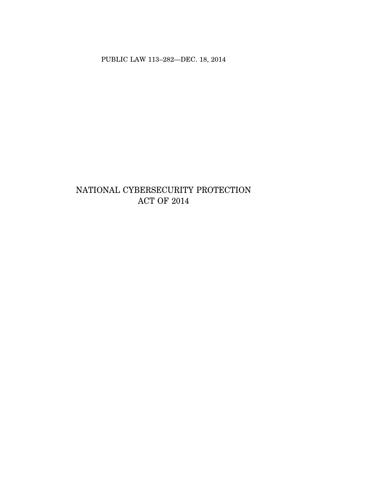PUBLIC LAW 113–282—DEC. 18, 2014

# NATIONAL CYBERSECURITY PROTECTION ACT OF 2014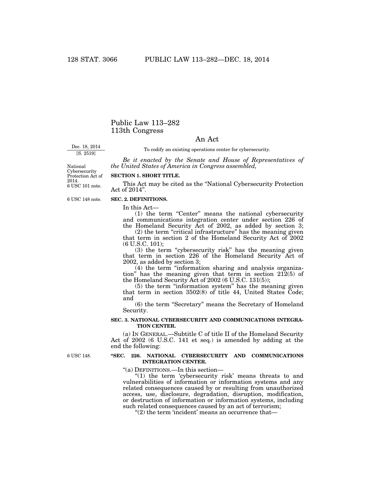# Public Law 113–282 113th Congress

# An Act

Dec. 18, 2014 [S. 2519]

To codify an existing operations center for cybersecurity.

*Be it enacted by the Senate and House of Representatives of the United States of America in Congress assembled,* 

6 USC 101 note. National Cybersecurity Protection Act of 2014.

#### **SECTION 1. SHORT TITLE.**

This Act may be cited as the ''National Cybersecurity Protection Act of 2014''.

6 USC 148 note.

# **SEC. 2. DEFINITIONS.**

In this Act—

(1) the term ''Center'' means the national cybersecurity and communications integration center under section 226 of the Homeland Security Act of 2002, as added by section 3;

(2) the term ''critical infrastructure'' has the meaning given that term in section 2 of the Homeland Security Act of 2002 (6 U.S.C. 101);

(3) the term "cybersecurity risk" has the meaning given that term in section 226 of the Homeland Security Act of 2002, as added by section 3;

(4) the term "information sharing and analysis organization'' has the meaning given that term in section 212(5) of the Homeland Security Act of 2002 (6 U.S.C. 131(5));

(5) the term ''information system'' has the meaning given that term in section 3502(8) of title 44, United States Code; and

(6) the term ''Secretary'' means the Secretary of Homeland Security.

#### **SEC. 3. NATIONAL CYBERSECURITY AND COMMUNICATIONS INTEGRA-TION CENTER.**

(a) IN GENERAL.—Subtitle C of title II of the Homeland Security Act of 2002 (6 U.S.C. 141 et seq.) is amended by adding at the end the following:

6 USC 148.

## **''SEC. 226. NATIONAL CYBERSECURITY AND COMMUNICATIONS INTEGRATION CENTER.**

''(a) DEFINITIONS.—In this section—

"(1) the term 'cybersecurity risk' means threats to and vulnerabilities of information or information systems and any related consequences caused by or resulting from unauthorized access, use, disclosure, degradation, disruption, modification, or destruction of information or information systems, including such related consequences caused by an act of terrorism;

" $(2)$  the term 'incident' means an occurrence that-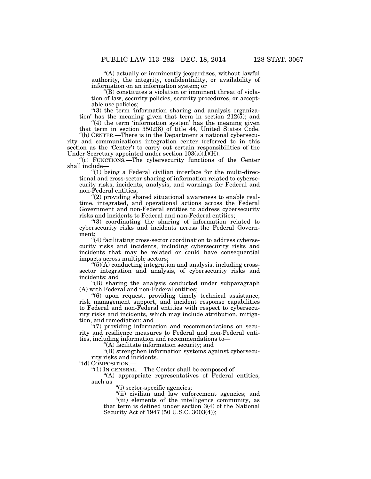''(A) actually or imminently jeopardizes, without lawful authority, the integrity, confidentiality, or availability of information on an information system; or

''(B) constitutes a violation or imminent threat of violation of law, security policies, security procedures, or acceptable use policies;

" $(3)$  the term 'information sharing and analysis organization' has the meaning given that term in section  $212(5)$ ; and

 $(4)$  the term 'information system' has the meaning given that term in section 3502(8) of title 44, United States Code.

''(b) CENTER.—There is in the Department a national cybersecurity and communications integration center (referred to in this section as the 'Center') to carry out certain responsibilities of the Under Secretary appointed under section  $103(a)(1)(H)$ .

''(c) FUNCTIONS.—The cybersecurity functions of the Center shall include—

" $(1)$  being a Federal civilian interface for the multi-directional and cross-sector sharing of information related to cybersecurity risks, incidents, analysis, and warnings for Federal and non-Federal entities;

 $''(2)$  providing shared situational awareness to enable realtime, integrated, and operational actions across the Federal Government and non-Federal entities to address cybersecurity risks and incidents to Federal and non-Federal entities;

''(3) coordinating the sharing of information related to cybersecurity risks and incidents across the Federal Government;

''(4) facilitating cross-sector coordination to address cybersecurity risks and incidents, including cybersecurity risks and incidents that may be related or could have consequential impacts across multiple sectors;

 $<sup>(5)</sup>(A)$  conducting integration and analysis, including cross-</sup> sector integration and analysis, of cybersecurity risks and incidents; and

''(B) sharing the analysis conducted under subparagraph (A) with Federal and non-Federal entities;

''(6) upon request, providing timely technical assistance, risk management support, and incident response capabilities to Federal and non-Federal entities with respect to cybersecurity risks and incidents, which may include attribution, mitigation, and remediation; and

''(7) providing information and recommendations on security and resilience measures to Federal and non-Federal entities, including information and recommendations to—

''(A) facilitate information security; and

''(B) strengthen information systems against cybersecurity risks and incidents.

"(d) COMPOSITION.-

''(1) IN GENERAL.—The Center shall be composed of—

''(A) appropriate representatives of Federal entities, such as—

''(i) sector-specific agencies;

"(ii) civilian and law enforcement agencies; and ''(iii) elements of the intelligence community, as that term is defined under section 3(4) of the National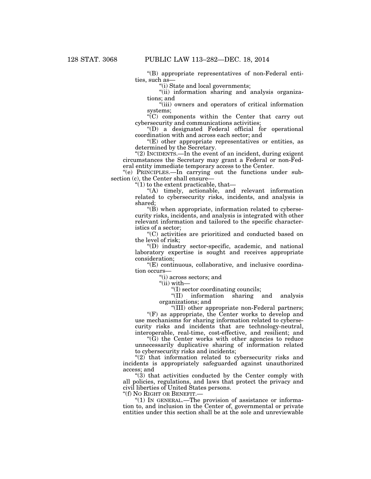''(B) appropriate representatives of non-Federal entities, such as—

(i) State and local governments;

"(ii) information sharing and analysis organizations; and

"(iii) owners and operators of critical information systems;

 $\sqrt{\rm C}$  components within the Center that carry out cybersecurity and communications activities;

''(D) a designated Federal official for operational coordination with and across each sector; and

 $E(E)$  other appropriate representatives or entities, as determined by the Secretary.

 $''(2)$  INCIDENTS.—In the event of an incident, during exigent circumstances the Secretary may grant a Federal or non-Federal entity immediate temporary access to the Center.

''(e) PRINCIPLES.—In carrying out the functions under subsection (c), the Center shall ensure—

 $\mathcal{H}(1)$  to the extent practicable, that-

''(A) timely, actionable, and relevant information related to cybersecurity risks, incidents, and analysis is shared;

''(B) when appropriate, information related to cybersecurity risks, incidents, and analysis is integrated with other relevant information and tailored to the specific characteristics of a sector;

''(C) activities are prioritized and conducted based on the level of risk;

''(D) industry sector-specific, academic, and national laboratory expertise is sought and receives appropriate consideration;

 $E$ ) continuous, collaborative, and inclusive coordination occurs—

''(i) across sectors; and

''(ii) with—

 $\frac{1}{(1)}$  sector coordinating councils;<br> $\frac{1}{(1)}$  information sharing and ''(II) information sharing and analysis organizations; and

''(III) other appropriate non-Federal partners;  $F(F)$  as appropriate, the Center works to develop and use mechanisms for sharing information related to cybersecurity risks and incidents that are technology-neutral, interoperable, real-time, cost-effective, and resilient; and

''(G) the Center works with other agencies to reduce unnecessarily duplicative sharing of information related to cybersecurity risks and incidents;

" $(2)$ " that information related to cybersecurity risks and incidents is appropriately safeguarded against unauthorized access; and

"(3) that activities conducted by the Center comply with all policies, regulations, and laws that protect the privacy and civil liberties of United States persons.

"(f) NO RIGHT OR BENEFIT.-

" $(1)$  In GENERAL.—The provision of assistance or information to, and inclusion in the Center of, governmental or private entities under this section shall be at the sole and unreviewable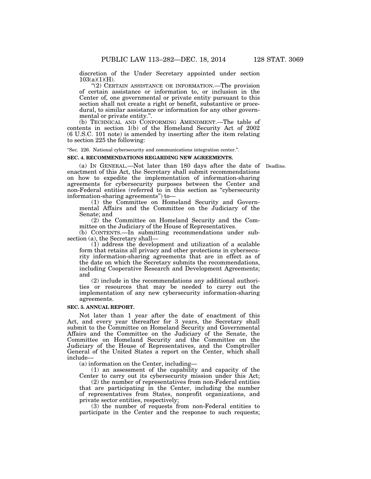discretion of the Under Secretary appointed under section  $103(a)(1)(H)$ .

''(2) CERTAIN ASSISTANCE OR INFORMATION.—The provision of certain assistance or information to, or inclusion in the Center of, one governmental or private entity pursuant to this section shall not create a right or benefit, substantive or procedural, to similar assistance or information for any other governmental or private entity.''.

(b) TECHNICAL AND CONFORMING AMENDMENT.—The table of contents in section 1(b) of the Homeland Security Act of 2002 (6 U.S.C. 101 note) is amended by inserting after the item relating to section 225 the following:

''Sec. 226. National cybersecurity and communications integration center.''.

#### **SEC. 4. RECOMMENDATIONS REGARDING NEW AGREEMENTS.**

Deadline.

(a) IN GENERAL.—Not later than 180 days after the date of enactment of this Act, the Secretary shall submit recommendations on how to expedite the implementation of information-sharing agreements for cybersecurity purposes between the Center and non-Federal entities (referred to in this section as ''cybersecurity information-sharing agreements'') to—

(1) the Committee on Homeland Security and Governmental Affairs and the Committee on the Judiciary of the Senate; and

(2) the Committee on Homeland Security and the Committee on the Judiciary of the House of Representatives.

(b) CONTENTS.—In submitting recommendations under subsection (a), the Secretary shall—

(1) address the development and utilization of a scalable form that retains all privacy and other protections in cybersecurity information-sharing agreements that are in effect as of the date on which the Secretary submits the recommendations, including Cooperative Research and Development Agreements; and

(2) include in the recommendations any additional authorities or resources that may be needed to carry out the implementation of any new cybersecurity information-sharing agreements.

#### **SEC. 5. ANNUAL REPORT.**

Not later than 1 year after the date of enactment of this Act, and every year thereafter for 3 years, the Secretary shall submit to the Committee on Homeland Security and Governmental Affairs and the Committee on the Judiciary of the Senate, the Committee on Homeland Security and the Committee on the Judiciary of the House of Representatives, and the Comptroller General of the United States a report on the Center, which shall include—

(a) information on the Center, including—

(1) an assessment of the capability and capacity of the Center to carry out its cybersecurity mission under this Act;

(2) the number of representatives from non-Federal entities that are participating in the Center, including the number of representatives from States, nonprofit organizations, and private sector entities, respectively;

(3) the number of requests from non-Federal entities to participate in the Center and the response to such requests;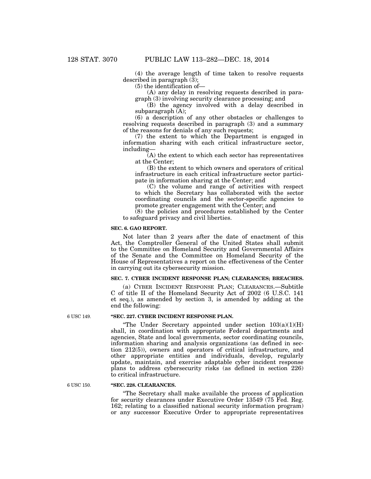(4) the average length of time taken to resolve requests described in paragraph (3);

(5) the identification of—

(A) any delay in resolving requests described in paragraph (3) involving security clearance processing; and

(B) the agency involved with a delay described in subparagraph (A);

(6) a description of any other obstacles or challenges to resolving requests described in paragraph (3) and a summary of the reasons for denials of any such requests;

(7) the extent to which the Department is engaged in information sharing with each critical infrastructure sector, including—

(A) the extent to which each sector has representatives at the Center;

(B) the extent to which owners and operators of critical infrastructure in each critical infrastructure sector participate in information sharing at the Center; and

(C) the volume and range of activities with respect to which the Secretary has collaborated with the sector coordinating councils and the sector-specific agencies to promote greater engagement with the Center; and

(8) the policies and procedures established by the Center to safeguard privacy and civil liberties.

#### **SEC. 6. GAO REPORT.**

Not later than 2 years after the date of enactment of this Act, the Comptroller General of the United States shall submit to the Committee on Homeland Security and Governmental Affairs of the Senate and the Committee on Homeland Security of the House of Representatives a report on the effectiveness of the Center in carrying out its cybersecurity mission.

# **SEC. 7. CYBER INCIDENT RESPONSE PLAN; CLEARANCES; BREACHES.**

(a) CYBER INCIDENT RESPONSE PLAN; CLEARANCES.—Subtitle C of title II of the Homeland Security Act of 2002 (6 U.S.C. 141 et seq.), as amended by section 3, is amended by adding at the end the following:

6 USC 149.

## **''SEC. 227. CYBER INCIDENT RESPONSE PLAN.**

"The Under Secretary appointed under section  $103(a)(1)(H)$ shall, in coordination with appropriate Federal departments and agencies, State and local governments, sector coordinating councils, information sharing and analysis organizations (as defined in section 212(5)), owners and operators of critical infrastructure, and other appropriate entities and individuals, develop, regularly update, maintain, and exercise adaptable cyber incident response plans to address cybersecurity risks (as defined in section 226) to critical infrastructure.

6 USC 150.

#### **''SEC. 228. CLEARANCES.**

''The Secretary shall make available the process of application for security clearances under Executive Order 13549 (75 Fed. Reg. 162; relating to a classified national security information program) or any successor Executive Order to appropriate representatives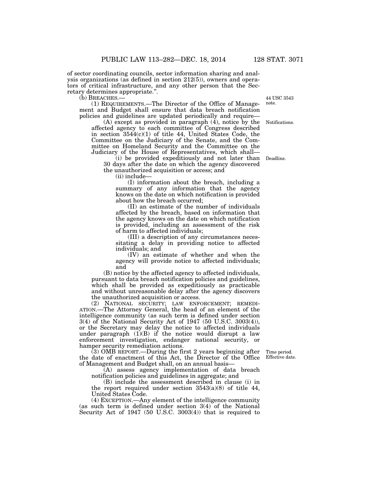of sector coordinating councils, sector information sharing and analysis organizations (as defined in section 212(5)), owners and operators of critical infrastructure, and any other person that the Secretary determines appropriate.''.

(b) BREACHES.—

(1) REQUIREMENTS.—The Director of the Office of Management and Budget shall ensure that data breach notification policies and guidelines are updated periodically and require—

(A) except as provided in paragraph (4), notice by the affected agency to each committee of Congress described in section 3544(c)(1) of title 44, United States Code, the Committee on the Judiciary of the Senate, and the Committee on Homeland Security and the Committee on the Judiciary of the House of Representatives, which shall—

44 USC 3543 note.

Notifications.

(i) be provided expeditiously and not later than 30 days after the date on which the agency discovered the unauthorized acquisition or access; and

(ii) include—

(I) information about the breach, including a summary of any information that the agency knows on the date on which notification is provided about how the breach occurred;

(II) an estimate of the number of individuals affected by the breach, based on information that the agency knows on the date on which notification is provided, including an assessment of the risk of harm to affected individuals;

(III) a description of any circumstances necessitating a delay in providing notice to affected individuals; and

(IV) an estimate of whether and when the agency will provide notice to affected individuals; and

(B) notice by the affected agency to affected individuals, pursuant to data breach notification policies and guidelines, which shall be provided as expeditiously as practicable and without unreasonable delay after the agency discovers the unauthorized acquisition or access.

(2) NATIONAL SECURITY; LAW ENFORCEMENT; REMEDI-ATION.—The Attorney General, the head of an element of the intelligence community (as such term is defined under section 3(4) of the National Security Act of 1947 (50 U.S.C. 3003(4)), or the Secretary may delay the notice to affected individuals under paragraph  $(1)(B)$  if the notice would disrupt a law enforcement investigation, endanger national security, or hamper security remediation actions.

(3) OMB REPORT.—During the first 2 years beginning after the date of enactment of this Act, the Director of the Office of Management and Budget shall, on an annual basis—

Time period. Effective date.

(A) assess agency implementation of data breach notification policies and guidelines in aggregate; and

(B) include the assessment described in clause (i) in the report required under section  $3543(a)(8)$  of title 44, United States Code.

(4) EXCEPTION.—Any element of the intelligence community (as such term is defined under section 3(4) of the National Security Act of 1947 (50 U.S.C. 3003(4)) that is required to

Deadline.